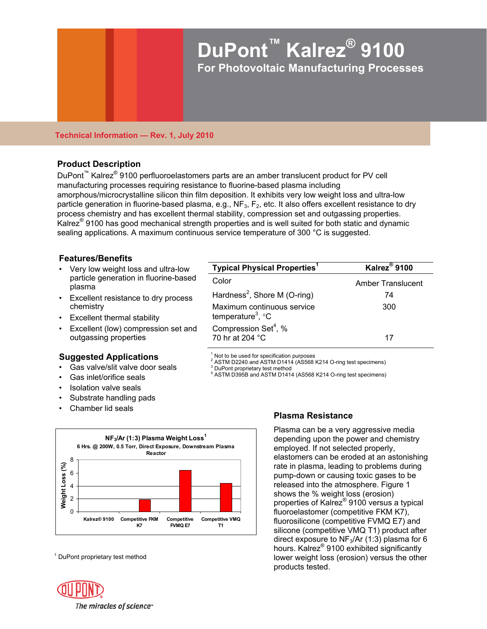

### **Technical Information — Rev. 1, July 2010**

# **Product Description**

DuPont<sup>™</sup> Kalrez<sup>®</sup> 9100 perfluoroelastomers parts are an amber translucent product for PV cell manufacturing processes requiring resistance to fluorine-based plasma including amorphous/microcrystalline silicon thin film deposition. It exhibits very low weight loss and ultra-low particle generation in fluorine-based plasma, e.g.,  $NF_3$ ,  $F_2$ , etc. It also offers excellent resistance to dry process chemistry and has excellent thermal stability, compression set and outgassing properties. Kalrez® 9100 has good mechanical strength properties and is well suited for both static and dynamic sealing applications. A maximum continuous service temperature of 300 °C is suggested.

# **Features/Benefits**

- Very low weight loss and ultra-low particle generation in fluorine-based plasma
- Excellent resistance to dry process chemistry
- Excellent thermal stability
- Excellent (low) compression set and outgassing properties

## **Suggested Applications**

- Gas valve/slit valve door seals
- Gas inlet/orifice seals
- Isolation valve seals
- Substrate handling pads
- Chamber lid seals



<sup>1</sup> DuPont proprietary test method

**Typical Physical Properties<sup>1</sup> Kalrez® Kalrez**<sup>®</sup> 9100 Color **Color Amber Translucent** Hardness<sup>2</sup>, Shore M (O-ring)  $\sqrt{74}$ Maximum continuous service temperature<sup>3</sup>, °C 300 Compression Set<sup>4</sup>, % 70 hr at 204 °C 17

> 1 Not to be used for specification purposes

 $^2$  ASTM D2240 and ASTM D1414 (AS568 K214 O-ring test specimens)

DuPont proprietary test method

4 ASTM D395B and ASTM D1414 (AS568 K214 O-ring test specimens)

# **Plasma Resistance**

Plasma can be a very aggressive media depending upon the power and chemistry employed. If not selected properly, elastomers can be eroded at an astonishing rate in plasma, leading to problems during pump-down or causing toxic gases to be released into the atmosphere. Figure 1 shows the % weight loss (erosion) properties of Kalrez® 9100 versus a typical fluoroelastomer (competitive FKM K7), fluorosilicone (competitive FVMQ E7) and silicone (competitive VMQ T1) product after direct exposure to  $NF<sub>3</sub>/Ar$  (1:3) plasma for 6 hours. Kalrez® 9100 exhibited significantly lower weight loss (erosion) versus the other products tested.